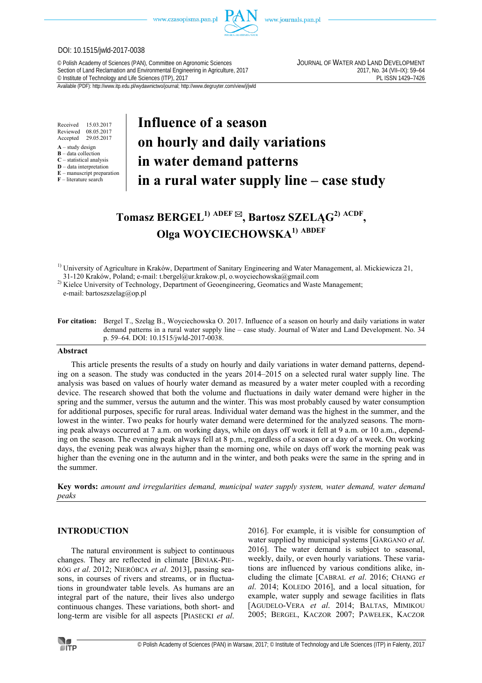www.czasopisma.pan.pl



www.journals.pan.pl

#### DOI: 10.1515/jwld-2017-0038

© Polish Academy of Sciences (PAN), Committee on Agronomic Sciences JOURNAL OF WATER AND LAND DEVELOPMENT Section of Land Reclamation and Environmental Engineering in Agriculture, 2017<br>
C Institute of Technology and Life Sciences (ITP), 2017<br>
PL ISSN 1429-7426 <sup>©</sup> Institute of Technology and Life Sciences (ITP), 2017

Available (PDF): http://www.itp.edu.pl/wydawnictwo/journal; http://www.degruyter.com/view/j/jwld

Received 15.03.2017 Reviewed 08.05.2017<br>Accented 29.05.2017 Accepted

- **A** study design **B** – data collection
- **C** statistical analysis
- **D** data interpretation
- **E** manuscript preparation
- **F** literature search

# **Influence of a season on hourly and daily variations in water demand patterns in a rural water supply line – case study**

# **Tomasz BERGEL1) ADEF , Bartosz SZELĄG2) ACDF , Olga WOYCIECHOWSKA1) ABDEF**

<sup>1)</sup> University of Agriculture in Kraków, Department of Sanitary Engineering and Water Management, al. Mickiewicza 21,

31-120 Kraków, Poland; e-mail: t.bergel@ur.krakow.pl, o.woyciechowska@gmail.com

<sup>2)</sup> Kielce University of Technology, Department of Geoengineering, Geomatics and Waste Management; e-mail: bartoszszelag@op.pl

**For citation:** Bergel T., Szeląg B., Woyciechowska O. 2017. Influence of a season on hourly and daily variations in water demand patterns in a rural water supply line – case study. Journal of Water and Land Development. No. 34 p. 59–64. DOI: 10.1515/jwld-2017-0038.

#### **Abstract**

This article presents the results of a study on hourly and daily variations in water demand patterns, depending on a season. The study was conducted in the years 2014–2015 on a selected rural water supply line. The analysis was based on values of hourly water demand as measured by a water meter coupled with a recording device. The research showed that both the volume and fluctuations in daily water demand were higher in the spring and the summer, versus the autumn and the winter. This was most probably caused by water consumption for additional purposes, specific for rural areas. Individual water demand was the highest in the summer, and the lowest in the winter. Two peaks for hourly water demand were determined for the analyzed seasons. The morning peak always occurred at 7 a.m. on working days, while on days off work it fell at 9 a.m. or 10 a.m., depending on the season. The evening peak always fell at 8 p.m., regardless of a season or a day of a week. On working days, the evening peak was always higher than the morning one, while on days off work the morning peak was higher than the evening one in the autumn and in the winter, and both peaks were the same in the spring and in the summer.

**Key words:** *amount and irregularities demand, municipal water supply system, water demand, water demand peaks* 

# **INTRODUCTION**

The natural environment is subject to continuous changes. They are reflected in climate [BINIAK-PIE-RÓG *et al*. 2012; NIERÓBCA *et al*. 2013], passing seasons, in courses of rivers and streams, or in fluctuations in groundwater table levels. As humans are an integral part of the nature, their lives also undergo continuous changes. These variations, both short- and long-term are visible for all aspects [PIASECKI *et al*. 2016]. For example, it is visible for consumption of water supplied by municipal systems [GARGANO *et al*. 2016]. The water demand is subject to seasonal, weekly, daily, or even hourly variations. These variations are influenced by various conditions alike, including the climate [CABRAL *et al*. 2016; CHANG *et al*. 2014; KOLEDO 2016], and a local situation, for example, water supply and sewage facilities in flats [AGUDELO-VERA *et al*. 2014; BALTAS, MIMIKOU 2005; BERGEL, KACZOR 2007; PAWEŁEK, KACZOR

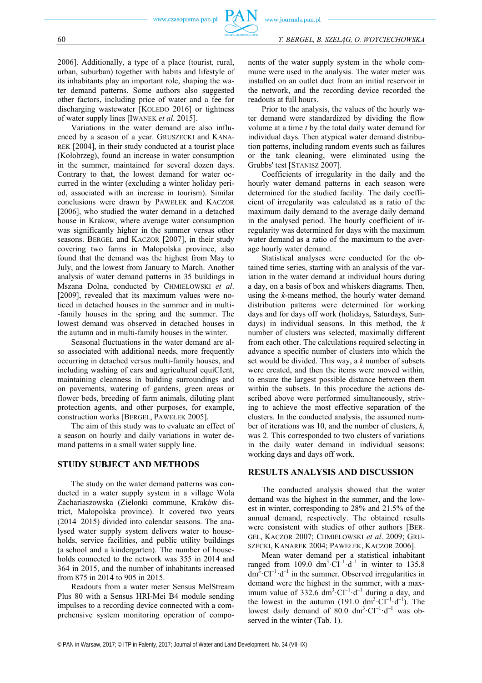60 *T. BERGEL, B. SZELĄG, O. WOYCIECHOWSKA*

2006]. Additionally, a type of a place (tourist, rural, urban, suburban) together with habits and lifestyle of its inhabitants play an important role, shaping the water demand patterns. Some authors also suggested other factors, including price of water and a fee for discharging wastewater [KOLEDO 2016] or tightness of water supply lines [IWANEK *et al*. 2015].

Variations in the water demand are also influenced by a season of a year. GRUSZECKI and KANA-REK [2004], in their study conducted at a tourist place (Kołobrzeg), found an increase in water consumption in the summer, maintained for several dozen days. Contrary to that, the lowest demand for water occurred in the winter (excluding a winter holiday period, associated with an increase in tourism). Similar conclusions were drawn by PAWEŁEK and KACZOR [2006], who studied the water demand in a detached house in Krakow, where average water consumption was significantly higher in the summer versus other seasons. BERGEL and KACZOR [2007], in their study covering two farms in Małopolska province, also found that the demand was the highest from May to July, and the lowest from January to March. Another analysis of water demand patterns in 35 buildings in Mszana Dolna, conducted by CHMIELOWSKI *et al*. [2009], revealed that its maximum values were noticed in detached houses in the summer and in multi- -family houses in the spring and the summer. The lowest demand was observed in detached houses in the autumn and in multi-family houses in the winter.

Seasonal fluctuations in the water demand are also associated with additional needs, more frequently occurring in detached versus multi-family houses, and including washing of cars and agricultural equiCIent, maintaining cleanness in building surroundings and on pavements, watering of gardens, green areas or flower beds, breeding of farm animals, diluting plant protection agents, and other purposes, for example, construction works [BERGEL, PAWEŁEK 2005].

The aim of this study was to evaluate an effect of a season on hourly and daily variations in water demand patterns in a small water supply line.

#### **STUDY SUBJECT AND METHODS**

The study on the water demand patterns was conducted in a water supply system in a village Wola Zachariaszowska (Zielonki commune, Kraków district, Małopolska province). It covered two years  $(2014-2015)$  divided into calendar seasons. The analysed water supply system delivers water to households, service facilities, and public utility buildings (a school and a kindergarten). The number of households connected to the network was 355 in 2014 and 364 in 2015, and the number of inhabitants increased from 875 in 2014 to 905 in 2015.

Readouts from a water meter Sensus MelStream Plus 80 with a Sensus HRI-Mei B4 module sending impulses to a recording device connected with a comprehensive system monitoring operation of components of the water supply system in the whole commune were used in the analysis. The water meter was installed on an outlet duct from an initial reservoir in the network, and the recording device recorded the readouts at full hours.

Prior to the analysis, the values of the hourly water demand were standardized by dividing the flow volume at a time *t* by the total daily water demand for individual days. Then atypical water demand distribution patterns, including random events such as failures or the tank cleaning, were eliminated using the Grubbs' test [STANISZ 2007].

Coefficients of irregularity in the daily and the hourly water demand patterns in each season were determined for the studied facility. The daily coefficient of irregularity was calculated as a ratio of the maximum daily demand to the average daily demand in the analysed period. The hourly coefficient of irregularity was determined for days with the maximum water demand as a ratio of the maximum to the average hourly water demand.

Statistical analyses were conducted for the obtained time series, starting with an analysis of the variation in the water demand at individual hours during a day, on a basis of box and whiskers diagrams. Then, using the *k*-means method, the hourly water demand distribution patterns were determined for working days and for days off work (holidays, Saturdays, Sundays) in individual seasons. In this method, the *k* number of clusters was selected, maximally different from each other. The calculations required selecting in advance a specific number of clusters into which the set would be divided. This way, a *k* number of subsets were created, and then the items were moved within, to ensure the largest possible distance between them within the subsets. In this procedure the actions described above were performed simultaneously, striving to achieve the most effective separation of the clusters. In the conducted analysis, the assumed number of iterations was 10, and the number of clusters, *k*, was 2. This corresponded to two clusters of variations in the daily water demand in individual seasons: working days and days off work.

#### **RESULTS ANALYSIS AND DISCUSSION**

The conducted analysis showed that the water demand was the highest in the summer, and the lowest in winter, corresponding to 28% and 21.5% of the annual demand, respectively. The obtained results were consistent with studies of other authors [BER-GEL, KACZOR 2007; CHMIELOWSKI *et al*. 2009; GRU-SZECKI, KANAREK 2004; PAWEŁEK, KACZOR 2006].

Mean water demand per a statistical inhabitant ranged from 109.0  $dm^3 \cdot Cl^{-1} \cdot d^{-1}$  in winter to 135.8  $dm^{3} \cdot CI^{-1} \cdot d^{-1}$  in the summer. Observed irregularities in demand were the highest in the summer, with a maximum value of 332.6  $dm^3 \cdot Cl^{-1} \cdot d^{-1}$  during a day, and the lowest in the autumn (191.0  $dm^3 \cdot CI^{-1} \cdot d^{-1}$ ). The lowest daily demand of 80.0  $dm^3 \cdot Cl^{-1} \cdot d^{-1}$  was observed in the winter (Tab. 1).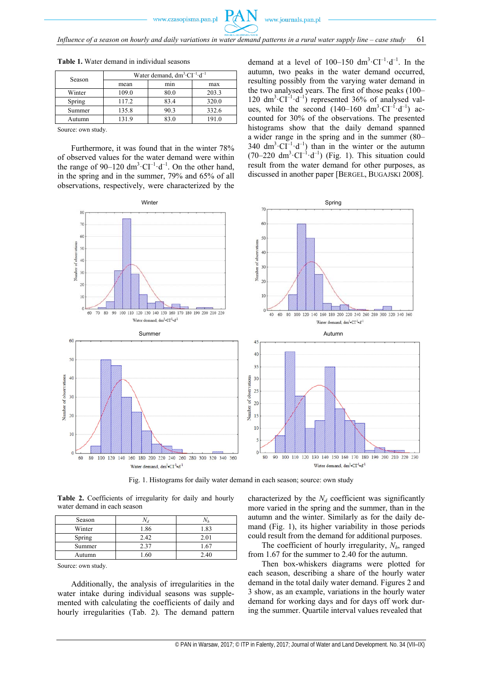*Influence of a season on hourly and daily variations in water demand patterns in a rural water supply line – case study* 61

 $P_f$ 

| Season | Water demand, $dm^3 \text{ } CI^{-1} \cdot d^{-1}$ |      |       |
|--------|----------------------------------------------------|------|-------|
|        | mean                                               | mın  | max   |
| Winter | 109.0                                              | 80.0 | 203.3 |
| Spring | 117.2                                              | 83.4 | 320.0 |
| Summer | 135.8                                              | 90.3 | 332.6 |
| Autumn | 131.9                                              | 83.0 | 191.0 |

**Table 1.** Water demand in individual seasons

Source: own study.

Furthermore, it was found that in the winter 78% of observed values for the water demand were within the range of 90–120 dm<sup>3</sup> $\cdot$ CI<sup>-1</sup> $\cdot$ d<sup>-1</sup>. On the other hand, in the spring and in the summer, 79% and 65% of all observations, respectively, were characterized by the

demand at a level of  $100-150 \text{ dm}^3 \cdot \text{CI}^{-1} \cdot \text{d}^{-1}$ . In the autumn, two peaks in the water demand occurred, resulting possibly from the varying water demand in the two analysed years. The first of those peaks (100– 120  $dm^3 \cdot CI^{-1} \cdot d^{-1}$ ) represented 36% of analysed values, while the second  $(140-160 \text{ dm}^3 \cdot \text{CI}^{-1} \cdot \text{d}^{-1})$  accounted for 30% of the observations. The presented histograms show that the daily demand spanned a wider range in the spring and in the summer (80– 340 dm<sup>3</sup> $\cdot$ CI<sup>-1</sup> $\cdot$ d<sup>-1</sup>) than in the winter or the autumn  $(70-220 \text{ dm}^3 \cdot \text{CI}^{-1} \cdot \text{d}^{-1})$  (Fig. 1). This situation could result from the water demand for other purposes, as discussed in another paper [BERGEL, BUGAJSKI 2008].



Fig. 1. Histograms for daily water demand in each season; source: own study

**Table 2.** Coefficients of irregularity for daily and hourly water demand in each season

| Season |      |                 |
|--------|------|-----------------|
| Winter | .86  | .82             |
| Spring | 2.42 | 2.01            |
| Summer | 2.37 | .6 <sup>7</sup> |
| Autumn |      | 7.4()           |

Source: own study.

Additionally, the analysis of irregularities in the water intake during individual seasons was supplemented with calculating the coefficients of daily and hourly irregularities (Tab. 2). The demand pattern

characterized by the  $N_d$  coefficient was significantly more varied in the spring and the summer, than in the autumn and the winter. Similarly as for the daily demand (Fig. 1), its higher variability in those periods could result from the demand for additional purposes.

The coefficient of hourly irregularity,  $N<sub>h</sub>$ , ranged from 1.67 for the summer to 2.40 for the autumn.

Then box-whiskers diagrams were plotted for each season, describing a share of the hourly water demand in the total daily water demand. Figures 2 and 3 show, as an example, variations in the hourly water demand for working days and for days off work during the summer. Quartile interval values revealed that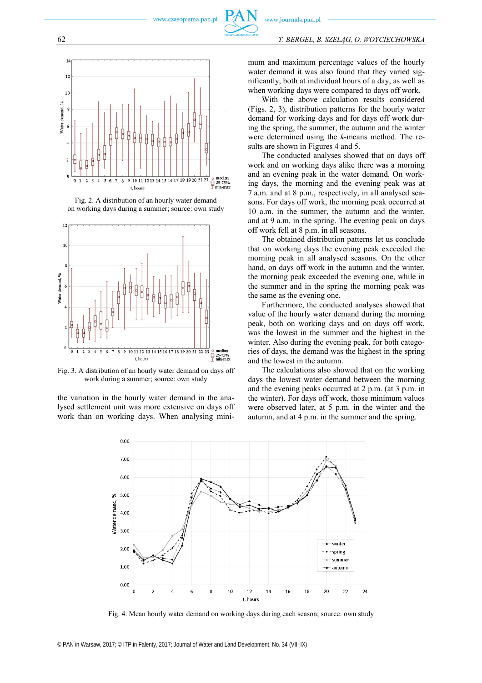

Fig. 2. A distribution of an hourly water demand on working days during a summer; source: own study



Fig. 3. A distribution of an hourly water demand on days off work during a summer; source: own study

the variation in the hourly water demand in the analysed settlement unit was more extensive on days off work than on working days. When analysing minimum and maximum percentage values of the hourly water demand it was also found that they varied significantly, both at individual hours of a day, as well as when working days were compared to days off work.

With the above calculation results considered (Figs. 2, 3), distribution patterns for the hourly water demand for working days and for days off work during the spring, the summer, the autumn and the winter were determined using the *k*-means method. The results are shown in Figures 4 and 5.

The conducted analyses showed that on days off work and on working days alike there was a morning and an evening peak in the water demand. On working days, the morning and the evening peak was at 7 a.m. and at 8 p.m., respectively, in all analysed seasons. For days off work, the morning peak occurred at 10 a.m. in the summer, the autumn and the winter, and at 9 a.m. in the spring. The evening peak on days off work fell at 8 p.m. in all seasons.

The obtained distribution patterns let us conclude that on working days the evening peak exceeded the morning peak in all analysed seasons. On the other hand, on days off work in the autumn and the winter, the morning peak exceeded the evening one, while in the summer and in the spring the morning peak was the same as the evening one.

Furthermore, the conducted analyses showed that value of the hourly water demand during the morning peak, both on working days and on days off work, was the lowest in the summer and the highest in the winter. Also during the evening peak, for both categories of days, the demand was the highest in the spring and the lowest in the autumn.

The calculations also showed that on the working days the lowest water demand between the morning and the evening peaks occurred at 2 p.m. (at 3 p.m. in the winter). For days off work, those minimum values were observed later, at 5 p.m. in the winter and the autumn, and at 4 p.m. in the summer and the spring.



Fig. 4. Mean hourly water demand on working days during each season; source: own study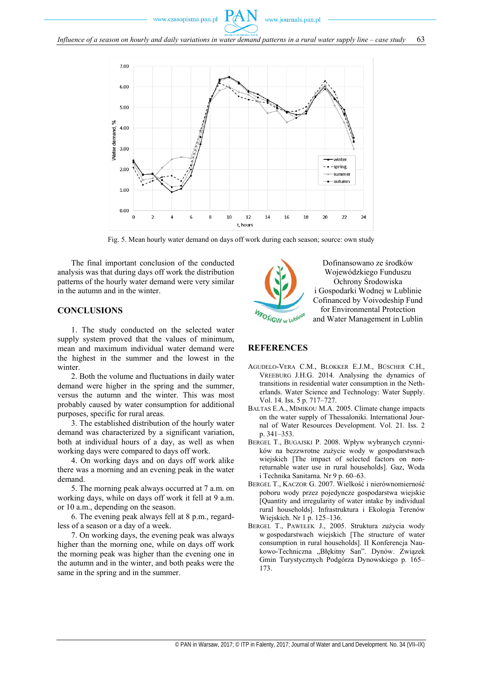www.czasopisma.pan.pl





Fig. 5. Mean hourly water demand on days off work during each season; source: own study

The final important conclusion of the conducted analysis was that during days off work the distribution patterns of the hourly water demand were very similar in the autumn and in the winter.

## **CONCLUSIONS**

1. The study conducted on the selected water supply system proved that the values of minimum, mean and maximum individual water demand were the highest in the summer and the lowest in the winter.

2. Both the volume and fluctuations in daily water demand were higher in the spring and the summer, versus the autumn and the winter. This was most probably caused by water consumption for additional purposes, specific for rural areas.

3. The established distribution of the hourly water demand was characterized by a significant variation, both at individual hours of a day, as well as when working days were compared to days off work.

4. On working days and on days off work alike there was a morning and an evening peak in the water demand.

5. The morning peak always occurred at 7 a.m. on working days, while on days off work it fell at 9 a.m. or 10 a.m., depending on the season.

6. The evening peak always fell at 8 p.m., regardless of a season or a day of a week.

7. On working days, the evening peak was always higher than the morning one, while on days off work the morning peak was higher than the evening one in the autumn and in the winter, and both peaks were the same in the spring and in the summer.



Dofinansowano ze środków Wojewódzkiego Funduszu Ochrony Środowiska i Gospodarki Wodnej w Lublinie Cofinanced by Voivodeship Fund for Environmental Protection and Water Management in Lublin

### **REFERENCES**

- AGUDELO-VERA C.M., BLOKKER E.J.M., BÜSCHER C.H., VREEBURG J.H.G. 2014. Analysing the dynamics of transitions in residential water consumption in the Netherlands. Water Science and Technology: Water Supply. Vol. 14. Iss. 5 p. 717–727.
- BALTAS E.A., MIMIKOU M.A. 2005. Climate change impacts on the water supply of Thessaloniki. International Journal of Water Resources Development. Vol. 21. Iss. 2 p. 341–353.
- BERGEL T., BUGAJSKI P. 2008. Wpływ wybranych czynników na bezzwrotne zużycie wody w gospodarstwach wiejskich [The impact of selected factors on nonreturnable water use in rural households]. Gaz, Woda i Technika Sanitarna. Nr 9 p. 60–63.
- BERGEL T., KACZOR G. 2007. Wielkość i nierównomierność poboru wody przez pojedyncze gospodarstwa wiejskie [Quantity and irregularity of water intake by individual rural households]. Infrastruktura i Ekologia Terenów Wiejskich. Nr 1 p. 125–136.
- BERGEL T., PAWEŁEK J., 2005. Struktura zużycia wody w gospodarstwach wiejskich [The structure of water consumption in rural households]. II Konferencja Naukowo-Techniczna "Błękitny San". Dynów. Związek Gmin Turystycznych Podgórza Dynowskiego p. 165– 173.